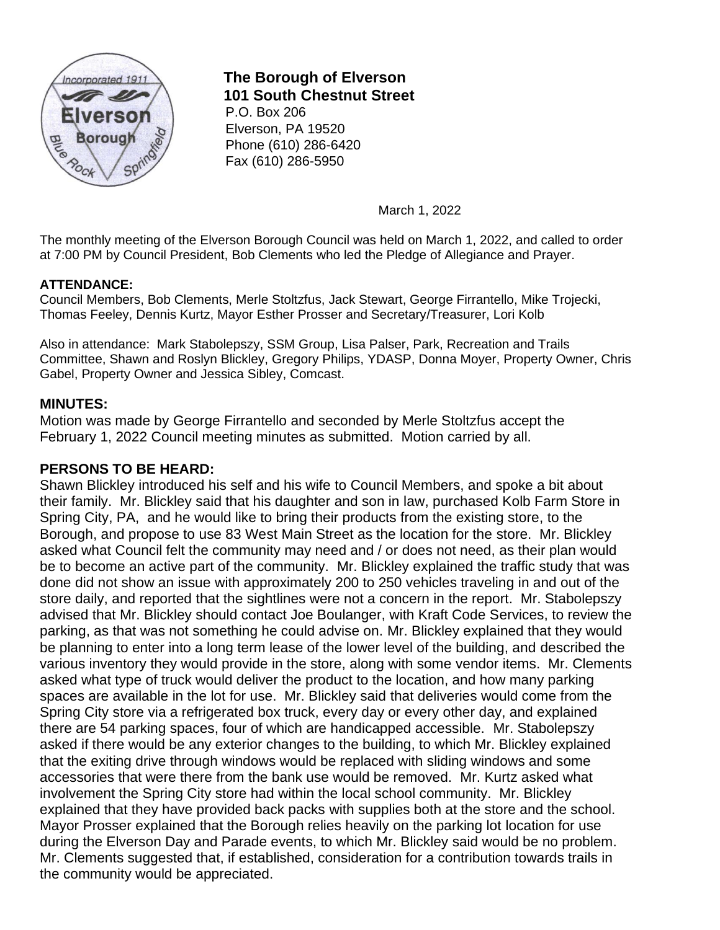

# **The Borough of Elverson 101 South Chestnut Street**

P.O. Box 206 Elverson, PA 19520 Phone (610) 286-6420 Fax (610) 286-5950

March 1, 2022

The monthly meeting of the Elverson Borough Council was held on March 1, 2022, and called to order at 7:00 PM by Council President, Bob Clements who led the Pledge of Allegiance and Prayer.

## **ATTENDANCE:**

Council Members, Bob Clements, Merle Stoltzfus, Jack Stewart, George Firrantello, Mike Trojecki, Thomas Feeley, Dennis Kurtz, Mayor Esther Prosser and Secretary/Treasurer, Lori Kolb

Also in attendance: Mark Stabolepszy, SSM Group, Lisa Palser, Park, Recreation and Trails Committee, Shawn and Roslyn Blickley, Gregory Philips, YDASP, Donna Moyer, Property Owner, Chris Gabel, Property Owner and Jessica Sibley, Comcast.

## **MINUTES:**

Motion was made by George Firrantello and seconded by Merle Stoltzfus accept the February 1, 2022 Council meeting minutes as submitted. Motion carried by all.

## **PERSONS TO BE HEARD:**

Shawn Blickley introduced his self and his wife to Council Members, and spoke a bit about their family. Mr. Blickley said that his daughter and son in law, purchased Kolb Farm Store in Spring City, PA, and he would like to bring their products from the existing store, to the Borough, and propose to use 83 West Main Street as the location for the store. Mr. Blickley asked what Council felt the community may need and / or does not need, as their plan would be to become an active part of the community. Mr. Blickley explained the traffic study that was done did not show an issue with approximately 200 to 250 vehicles traveling in and out of the store daily, and reported that the sightlines were not a concern in the report. Mr. Stabolepszy advised that Mr. Blickley should contact Joe Boulanger, with Kraft Code Services, to review the parking, as that was not something he could advise on. Mr. Blickley explained that they would be planning to enter into a long term lease of the lower level of the building, and described the various inventory they would provide in the store, along with some vendor items. Mr. Clements asked what type of truck would deliver the product to the location, and how many parking spaces are available in the lot for use. Mr. Blickley said that deliveries would come from the Spring City store via a refrigerated box truck, every day or every other day, and explained there are 54 parking spaces, four of which are handicapped accessible. Mr. Stabolepszy asked if there would be any exterior changes to the building, to which Mr. Blickley explained that the exiting drive through windows would be replaced with sliding windows and some accessories that were there from the bank use would be removed. Mr. Kurtz asked what involvement the Spring City store had within the local school community. Mr. Blickley explained that they have provided back packs with supplies both at the store and the school. Mayor Prosser explained that the Borough relies heavily on the parking lot location for use during the Elverson Day and Parade events, to which Mr. Blickley said would be no problem. Mr. Clements suggested that, if established, consideration for a contribution towards trails in the community would be appreciated.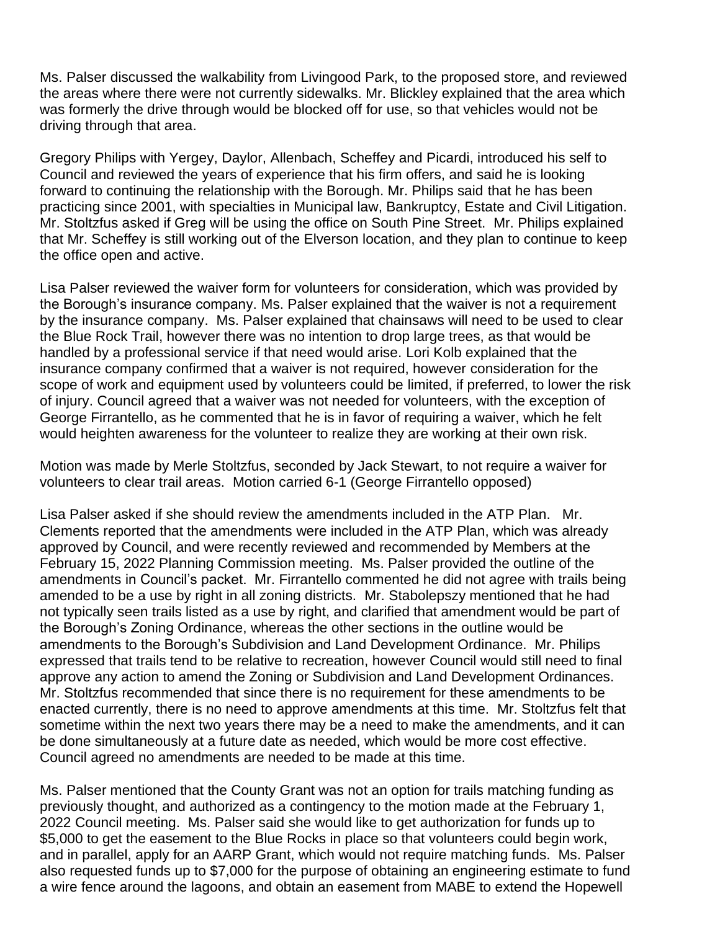Ms. Palser discussed the walkability from Livingood Park, to the proposed store, and reviewed the areas where there were not currently sidewalks. Mr. Blickley explained that the area which was formerly the drive through would be blocked off for use, so that vehicles would not be driving through that area.

Gregory Philips with Yergey, Daylor, Allenbach, Scheffey and Picardi, introduced his self to Council and reviewed the years of experience that his firm offers, and said he is looking forward to continuing the relationship with the Borough. Mr. Philips said that he has been practicing since 2001, with specialties in Municipal law, Bankruptcy, Estate and Civil Litigation. Mr. Stoltzfus asked if Greg will be using the office on South Pine Street. Mr. Philips explained that Mr. Scheffey is still working out of the Elverson location, and they plan to continue to keep the office open and active.

Lisa Palser reviewed the waiver form for volunteers for consideration, which was provided by the Borough's insurance company. Ms. Palser explained that the waiver is not a requirement by the insurance company. Ms. Palser explained that chainsaws will need to be used to clear the Blue Rock Trail, however there was no intention to drop large trees, as that would be handled by a professional service if that need would arise. Lori Kolb explained that the insurance company confirmed that a waiver is not required, however consideration for the scope of work and equipment used by volunteers could be limited, if preferred, to lower the risk of injury. Council agreed that a waiver was not needed for volunteers, with the exception of George Firrantello, as he commented that he is in favor of requiring a waiver, which he felt would heighten awareness for the volunteer to realize they are working at their own risk.

Motion was made by Merle Stoltzfus, seconded by Jack Stewart, to not require a waiver for volunteers to clear trail areas. Motion carried 6-1 (George Firrantello opposed)

Lisa Palser asked if she should review the amendments included in the ATP Plan. Mr. Clements reported that the amendments were included in the ATP Plan, which was already approved by Council, and were recently reviewed and recommended by Members at the February 15, 2022 Planning Commission meeting. Ms. Palser provided the outline of the amendments in Council's packet. Mr. Firrantello commented he did not agree with trails being amended to be a use by right in all zoning districts. Mr. Stabolepszy mentioned that he had not typically seen trails listed as a use by right, and clarified that amendment would be part of the Borough's Zoning Ordinance, whereas the other sections in the outline would be amendments to the Borough's Subdivision and Land Development Ordinance. Mr. Philips expressed that trails tend to be relative to recreation, however Council would still need to final approve any action to amend the Zoning or Subdivision and Land Development Ordinances. Mr. Stoltzfus recommended that since there is no requirement for these amendments to be enacted currently, there is no need to approve amendments at this time. Mr. Stoltzfus felt that sometime within the next two years there may be a need to make the amendments, and it can be done simultaneously at a future date as needed, which would be more cost effective. Council agreed no amendments are needed to be made at this time.

Ms. Palser mentioned that the County Grant was not an option for trails matching funding as previously thought, and authorized as a contingency to the motion made at the February 1, 2022 Council meeting. Ms. Palser said she would like to get authorization for funds up to \$5,000 to get the easement to the Blue Rocks in place so that volunteers could begin work, and in parallel, apply for an AARP Grant, which would not require matching funds. Ms. Palser also requested funds up to \$7,000 for the purpose of obtaining an engineering estimate to fund a wire fence around the lagoons, and obtain an easement from MABE to extend the Hopewell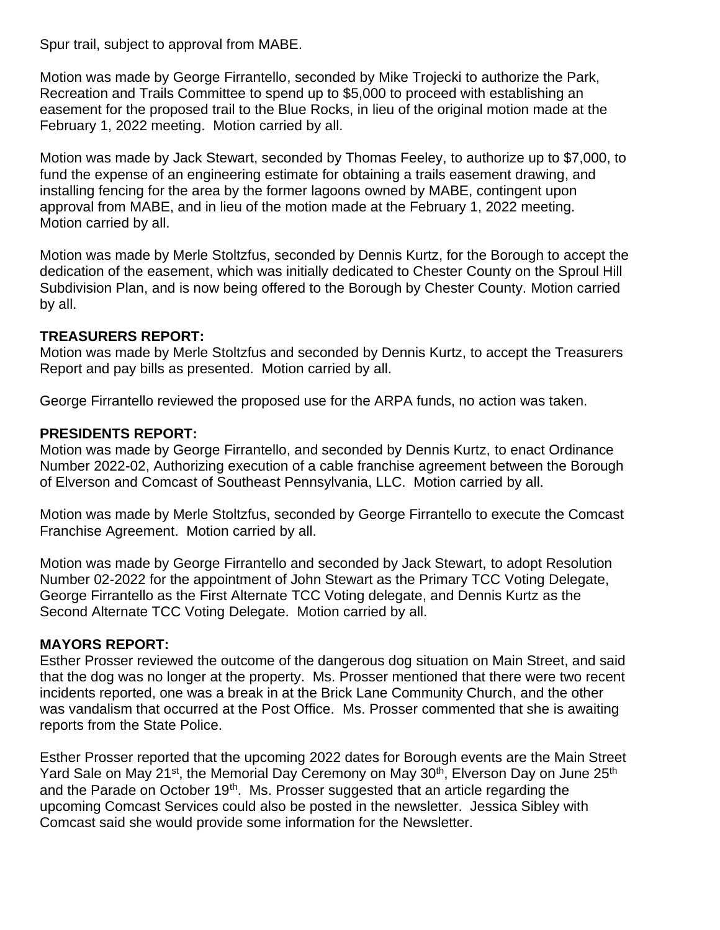Spur trail, subject to approval from MABE.

Motion was made by George Firrantello, seconded by Mike Trojecki to authorize the Park, Recreation and Trails Committee to spend up to \$5,000 to proceed with establishing an easement for the proposed trail to the Blue Rocks, in lieu of the original motion made at the February 1, 2022 meeting. Motion carried by all.

Motion was made by Jack Stewart, seconded by Thomas Feeley, to authorize up to \$7,000, to fund the expense of an engineering estimate for obtaining a trails easement drawing, and installing fencing for the area by the former lagoons owned by MABE, contingent upon approval from MABE, and in lieu of the motion made at the February 1, 2022 meeting. Motion carried by all.

Motion was made by Merle Stoltzfus, seconded by Dennis Kurtz, for the Borough to accept the dedication of the easement, which was initially dedicated to Chester County on the Sproul Hill Subdivision Plan, and is now being offered to the Borough by Chester County. Motion carried by all.

## **TREASURERS REPORT:**

Motion was made by Merle Stoltzfus and seconded by Dennis Kurtz, to accept the Treasurers Report and pay bills as presented. Motion carried by all.

George Firrantello reviewed the proposed use for the ARPA funds, no action was taken.

# **PRESIDENTS REPORT:**

Motion was made by George Firrantello, and seconded by Dennis Kurtz, to enact Ordinance Number 2022-02, Authorizing execution of a cable franchise agreement between the Borough of Elverson and Comcast of Southeast Pennsylvania, LLC. Motion carried by all.

Motion was made by Merle Stoltzfus, seconded by George Firrantello to execute the Comcast Franchise Agreement. Motion carried by all.

Motion was made by George Firrantello and seconded by Jack Stewart, to adopt Resolution Number 02-2022 for the appointment of John Stewart as the Primary TCC Voting Delegate, George Firrantello as the First Alternate TCC Voting delegate, and Dennis Kurtz as the Second Alternate TCC Voting Delegate. Motion carried by all.

## **MAYORS REPORT:**

Esther Prosser reviewed the outcome of the dangerous dog situation on Main Street, and said that the dog was no longer at the property. Ms. Prosser mentioned that there were two recent incidents reported, one was a break in at the Brick Lane Community Church, and the other was vandalism that occurred at the Post Office. Ms. Prosser commented that she is awaiting reports from the State Police.

Esther Prosser reported that the upcoming 2022 dates for Borough events are the Main Street Yard Sale on May 21<sup>st</sup>, the Memorial Day Ceremony on May 30<sup>th</sup>, Elverson Day on June 25<sup>th</sup> and the Parade on October 19<sup>th</sup>. Ms. Prosser suggested that an article regarding the upcoming Comcast Services could also be posted in the newsletter. Jessica Sibley with Comcast said she would provide some information for the Newsletter.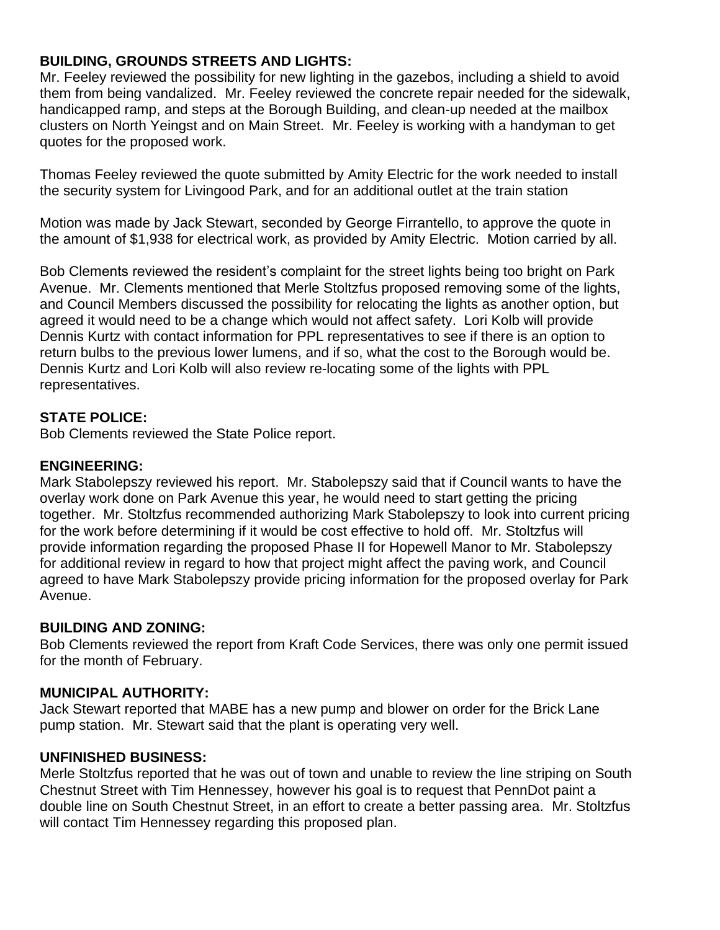# **BUILDING, GROUNDS STREETS AND LIGHTS:**

Mr. Feeley reviewed the possibility for new lighting in the gazebos, including a shield to avoid them from being vandalized. Mr. Feeley reviewed the concrete repair needed for the sidewalk, handicapped ramp, and steps at the Borough Building, and clean-up needed at the mailbox clusters on North Yeingst and on Main Street. Mr. Feeley is working with a handyman to get quotes for the proposed work.

Thomas Feeley reviewed the quote submitted by Amity Electric for the work needed to install the security system for Livingood Park, and for an additional outlet at the train station

Motion was made by Jack Stewart, seconded by George Firrantello, to approve the quote in the amount of \$1,938 for electrical work, as provided by Amity Electric. Motion carried by all.

Bob Clements reviewed the resident's complaint for the street lights being too bright on Park Avenue. Mr. Clements mentioned that Merle Stoltzfus proposed removing some of the lights, and Council Members discussed the possibility for relocating the lights as another option, but agreed it would need to be a change which would not affect safety. Lori Kolb will provide Dennis Kurtz with contact information for PPL representatives to see if there is an option to return bulbs to the previous lower lumens, and if so, what the cost to the Borough would be. Dennis Kurtz and Lori Kolb will also review re-locating some of the lights with PPL representatives.

## **STATE POLICE:**

Bob Clements reviewed the State Police report.

## **ENGINEERING:**

Mark Stabolepszy reviewed his report. Mr. Stabolepszy said that if Council wants to have the overlay work done on Park Avenue this year, he would need to start getting the pricing together. Mr. Stoltzfus recommended authorizing Mark Stabolepszy to look into current pricing for the work before determining if it would be cost effective to hold off. Mr. Stoltzfus will provide information regarding the proposed Phase II for Hopewell Manor to Mr. Stabolepszy for additional review in regard to how that project might affect the paving work, and Council agreed to have Mark Stabolepszy provide pricing information for the proposed overlay for Park Avenue.

## **BUILDING AND ZONING:**

Bob Clements reviewed the report from Kraft Code Services, there was only one permit issued for the month of February.

## **MUNICIPAL AUTHORITY:**

Jack Stewart reported that MABE has a new pump and blower on order for the Brick Lane pump station. Mr. Stewart said that the plant is operating very well.

## **UNFINISHED BUSINESS:**

Merle Stoltzfus reported that he was out of town and unable to review the line striping on South Chestnut Street with Tim Hennessey, however his goal is to request that PennDot paint a double line on South Chestnut Street, in an effort to create a better passing area. Mr. Stoltzfus will contact Tim Hennessey regarding this proposed plan.